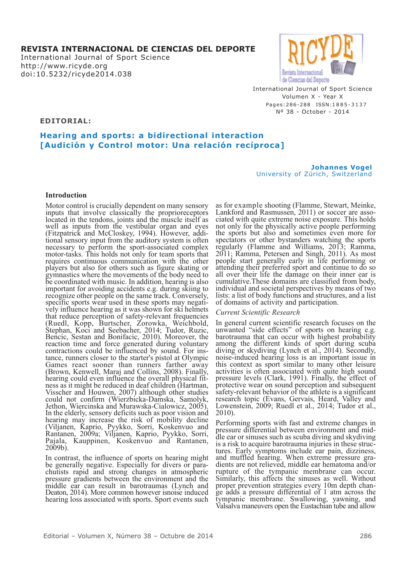# **REVISTA INTERNACIONAL DE CIENCIAS DEL DEPORTE**

International Journal of Sport Science http://www.ricyde.org doi:10.5232/ricyde2014.038



International Journal of Sport Science Volumen X - Year X Pages: 286-288 ISSN: 1885-3137 Nº 38 - October - 2014

**EDITORIAL:**

# **Hearing and sports: a bidirectional interaction [Audición y Control motor: Una relación recíproca]**

**Johannes Vogel** University of Zürich, Switzerland

## **Introduction**

Motor control is crucially dependent on many sensory inputs that involve classically the proprioreceptors located in the tendons, joints and the muscle itself as well as inputs from the vestibular organ and eyes (Fitzpatrick and McCloskey, 1994). However, addi- tional sensory input from the auditory system is often necessary to perform the sport-associated complex motor-tasks. This holds not only for team sports that requires continuous communication with the other players but also for others such as figure skating or gymnastics where the movements of the body need to be coordinated with music. In addition, hearing is also important for avoiding accidents e.g. during skiing to recognize other people on the same track. Conversely, specific sports wear used in these sports may negati- vely influence hearing as it was shown for ski helmets that reduce perception of safety-relevant frequencies (Ruedl, Kopp, Burtscher, Zorowka, Weichbold, Stephan, Koci and Seebacher, 2014; Tudor, Ruzic, Bencic, Sestan and Bonifacic, 2010). Moreover, the reaction time and force generated during voluntary<br>contractions could be influenced by sound. For instance, runners closer to the starter's pistol at Olympic Games react sooner than runners farther away<br>(Brown, Kenwell, Maraj and Collins, 2008). Finally, (Brown, Kenwell, Maraj and Collins, 2008). Finally, hearing could even influence the overall physical fit- ness as it might be reduced in deaf children (Hartman, Visscher and Houwen, 2007) although other studies could not confirm (Wierzbicka-Damska, Samolyk, Jethon, Wiercinska and Murawska-Cialowicz, 2005). In the elderly, sensory deficits such as poor vision and hearing may increase the risk of mobility decline (Viljanen, Kaprio, Pyykko, Sorri, Koskenvuo and Rantanen, 2009a; Viljanen, Kaprio, Pyykko, Sorri, Pajala, Kauppinen, Koskenvuo and Rantanen, 2009b).

In contrast, the influence of sports on hearing might be generally negative. Especially for divers or para- chutists rapid and strong changes in atmospheric pressure gradients between the environment and the middle ear can result in barotraumas (Lynch and Deaton, 2014). More common however isnoise induced hearing loss associated with sports. Sport events such as for example shooting (Flamme, Stewart, Meinke, Lankford and Rasmussen, 2011) or soccer are asso- ciated with quite extreme noise exposure. This holds not only for the physically active people performing the sports but also and sometimes even more for spectators or other bystanders watching the sports regularly (Flamme and Williams, 2013; Ramma, 2011; Ramma, Petersen and Singh, 2011). As most people start generally early in life performing or attending their preferred sport and continue to do so all over their life the damage on their inner ear is cumulative.These domains are classified from body, individual and societal perspectives by means of two lists: a list of body functions and structures, and a list of domains of activity and participation.

## *Current Scientific Research*

In general current scientific research focuses on the unwanted "side effects" of sports on hearing e.g. barotrauma that can occur with highest probability among the different kinds of sport during scuba diving or skydiving (Lynch et al., 2014). Secondly, noise-induced hearing loss is an important issue in this context as sport similar to many other leisure activities is often associated with quite high sound pressure levels (Clark, 1991). Finally, the effect of protective wear on sound perception and subsequent safety-relevant behavior of the athlete is a significant research topic (Evans, Gervais, Heard, Valley and Lowenstein, 2009; Ruedl et al., 2014; Tudor et al., 2010).

Performing sports with fast and extreme changes in dle ear or sinuses such as scuba diving and skydiving is a risk to acquire barotrauma injuries in these strucis a risk to acquire barotrauma injuries in these struc-<br>tures. Early symptoms include ear pain, dizziness,<br>and muffled hearing. When extreme pressure gra-<br>dients are not relieved, middle ear hematoma and/or rupture of the tympanic membrane can occur. Similarly, this affects the sinuses as well. Without proper prevention strategies every 10m depth chan- ge adds <sup>a</sup> pressure differential of <sup>1</sup> atm across the tympanic membrane. Swallowing, yawning, and Valsalva maneuvers open the Eustachian tube and allow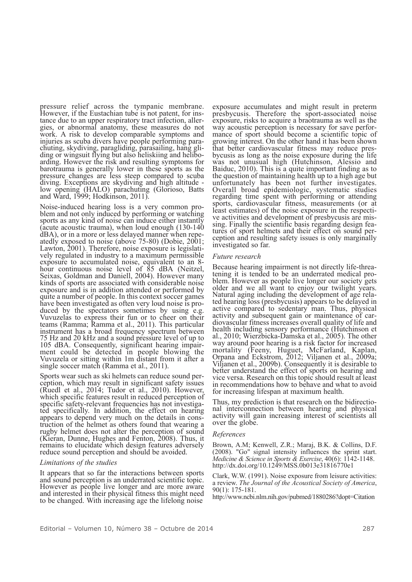pressure relief across the tympanic membrane. However, if the Eustachian tube is not patent, for ins- tance due to an upper respiratory tract infection, aller- gies, or abnormal anatomy, these measures do not work. A risk to develop comparable symptoms and injuries as scuba divers have people performing parachuting, skydiving, paragliding, parasailing, hang gliding or wingsuit flying but also heliskiing and helibo- arding. However the risk and resulting symptoms for barotrauma is generally lower in these sports as the pressure changes are less steep compared to scuba<br>diving. Exceptions are skydiving and high altitude diving. Exceptions are skydiving and high altitude - low opening (HALO) parachuting (Glorioso, Batts and Ward, 1999; Hodkinson, 2011).

Noise-induced hearing loss is <sup>a</sup> very common pro- blem and not only induced by performing or watching sports as any kind of noise can induce either instantly (acute acoustic trauma), when loud enough (130-140 dBA), or in a more or less delayed manner when repe-<br>atedly exposed to noise (above 75-80) (Dobie, 2001; Lawton, 2001). Therefore, noise exposure is legislatively regulated in industry to a maximum permissible exposure to accumulated noise, equivalent to an 8hour continuous noise level of 85 dBA (Neitzel, Seixas, Goldman and Daniell, 2004). However many kinds of sports are associated with considerable noise exposure and is in addition attended or performed by quite a number of people. In this context soccer games have been investigated as often very loud noise is pro-<br>duced by the spectators sometimes by using e.g.<br>Vuvuzelas to express their fun or to cheer on their teams (Ramma; Ramma et al., 2011). This particular instrument has a broad frequency spectrum between 75 Hz and 20 kHz and a sound pressure level of up to <sup>105</sup> dBA. Consequently, significant hearing impair- ment could be detected in people blowing the Vuvuzela or sitting within 1m distant from it after a single soccer match (Ramma et al., 2011).

Sports wear such as ski helmets can reduce sound per- ception, which may result in significant safety issues (Ruedl et al., 2014; Tudor et al., 2010). However, which specific features result in reduced perception of specific safety-relevant frequencies has not investiga- ted specifically. In addition, the effect on hearing appears to depend very much on the details in cons- truction of the helmet as others found that wearing <sup>a</sup> rugby helmet does not alter the perception of sound (Kieran, Dunne, Hughes and Fenton, 2008). Thus, it remains to elucidate which design features adversely reduce sound perception and should be avoided.

### *Limitations of the studies*

It appears that so far the interactions between sports and sound perception is an underrated scientific topic. However as people live longer and are more aware and interested in their physical fitness this might need to be changed. With increasing age the lifelong noise

exposure accumulates and might result in preterm presbycusis. Therefore the sport-associated noise exposure, risks to acquire a braotrauma as well as the way acoustic perception is necessary for save performance of sport should become a scientific topic of growing interest. On the other hand it has been shown that better cardiovascular fitness may reduce pres- bycusis as long as the noise exposure during the life was not unusual high (Hutchinson, Alessio and Baiduc, 2010). This is a quite important finding as to the question of maintaining health up to a high age but unfortunately has been not further investigates. Overall broad epidemiologic, systematic studies regarding time spent with performing or attending sports, cardiovascular fitness, measurements (or at least estimates) of the noise exposure in the respective activities and development of presbycusis are mis-<br>sing. Finally the scientific basis regarding design fea-<br>tures of sport helmets and their effect on sound per-<br>cep investigated so far.

#### *Future research*

Because hearing impairment is not directly life-threa-<br>tening it is tended to be an underrated medical pro-<br>blem. However as people live longer our society gets older and we all want to enjoy our twilight years. Natural aging including the development of age rela- ted hearing loss (presbycusis) appears to be delayed in active compared to sedentary man. Thus, physical activity and subsequent gain or maintenance of car- diovascular fitness increases overall quality of life and health including sensory performance (Hutchinson et al., 2010; Wierzbicka-Damska et al., 2005). The other way around poor hearing is a risk factor for increased mortality (Feeny, Huguet, McFarland, Kaplan, Orpana and Eckstrom, 2012; Viljanen et al., 2009a; Viljanen et al., 2009b). Consequently it is desirable to better understand the effect of sports on hearing and vice versa. Research on this topic should result at least in recommendations how to behave and what to avoid for increasing lifespan at maximum health.

Thus, my prediction is that research on the bidirectio- nal interconnection between hearing and physical activity will gain increasing interest of scientists all over the globe.

#### *References*

Brown, A.M; Kenwell, Z.R.; Maraj, B.K. & Collins, D.F. (2008). "Go" signal intensity influences the sprint start. *Medicine & Science in Sports & Exercise*, 40(6): 1142-1148. http://dx.doi.org/10.1249/MSS.0b013e31816770e1

Clark, W.W. (1991). Noise exposure from leisure activities: a review. *The Journal of the Acoustical Society of America*, 90(1): 175-181.

http://www.ncbi.nlm.nih.gov/pubmed/1880286?dopt=Citation